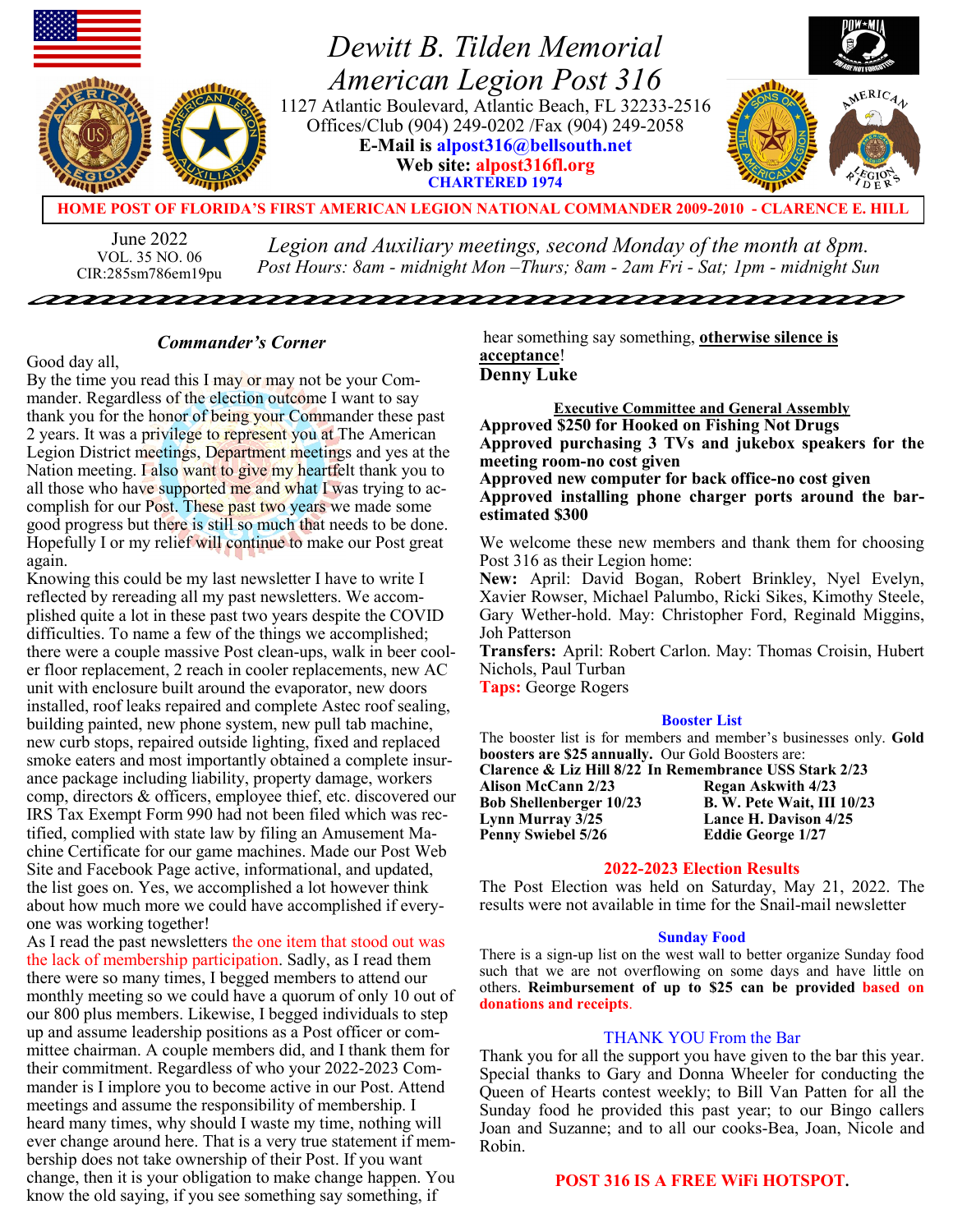

June 2022 VOL. 35 NO. 06 CIR:285sm786em19pu *Legion and Auxiliary meetings, second Monday of the month at 8pm. Post Hours: 8am - midnight Mon –Thurs; 8am - 2am Fri - Sat; 1pm - midnight Sun*

<u>nanananananananananananananan</u>

## *Commander's Corner*

Good day all,

By the time you read this I may or may not be your Commander. Regardless of the election outcome I want to say thank you for the honor of being your Commander these past 2 years. It was a privilege to represent you at The American Legion District meetings, Department meetings and yes at the Nation meeting. I also want to give my heartfelt thank you to all those who have supported me and what  $\Gamma$  was trying to accomplish for our Post. These past two years we made some good progress but there is still so much that needs to be done. Hopefully I or my relief will continue to make our Post great again.

Knowing this could be my last newsletter I have to write I reflected by rereading all my past newsletters. We accomplished quite a lot in these past two years despite the COVID difficulties. To name a few of the things we accomplished; there were a couple massive Post clean-ups, walk in beer cooler floor replacement, 2 reach in cooler replacements, new AC unit with enclosure built around the evaporator, new doors installed, roof leaks repaired and complete Astec roof sealing, building painted, new phone system, new pull tab machine, new curb stops, repaired outside lighting, fixed and replaced smoke eaters and most importantly obtained a complete insurance package including liability, property damage, workers comp, directors & officers, employee thief, etc. discovered our IRS Tax Exempt Form 990 had not been filed which was rectified, complied with state law by filing an Amusement Machine Certificate for our game machines. Made our Post Web Site and Facebook Page active, informational, and updated, the list goes on. Yes, we accomplished a lot however think about how much more we could have accomplished if everyone was working together!

As I read the past newsletters the one item that stood out was the lack of membership participation. Sadly, as I read them there were so many times, I begged members to attend our monthly meeting so we could have a quorum of only 10 out of our 800 plus members. Likewise, I begged individuals to step up and assume leadership positions as a Post officer or committee chairman. A couple members did, and I thank them for their commitment. Regardless of who your 2022-2023 Commander is I implore you to become active in our Post. Attend meetings and assume the responsibility of membership. I heard many times, why should I waste my time, nothing will ever change around here. That is a very true statement if membership does not take ownership of their Post. If you want change, then it is your obligation to make change happen. You know the old saying, if you see something say something, if

hear something say something, **otherwise silence is acceptance**! **Denny Luke**

**Executive Committee and General Assembly Approved \$250 for Hooked on Fishing Not Drugs Approved purchasing 3 TVs and jukebox speakers for the meeting room-no cost given**

**Approved new computer for back office-no cost given Approved installing phone charger ports around the barestimated \$300**

We welcome these new members and thank them for choosing Post 316 as their Legion home:

**New:** April: David Bogan, Robert Brinkley, Nyel Evelyn, Xavier Rowser, Michael Palumbo, Ricki Sikes, Kimothy Steele, Gary Wether-hold. May: Christopher Ford, Reginald Miggins, Joh Patterson

**Transfers:** April: Robert Carlon. May: Thomas Croisin, Hubert Nichols, Paul Turban

**Taps:** George Rogers

#### **Booster List**

The booster list is for members and member's businesses only. **Gold boosters are \$25 annually.** Our Gold Boosters are: **Clarence & Liz Hill 8/22 In Remembrance USS Stark 2/23**

**Alison McCann 2/23 Regan Askwith 4/23 Bob Shellenberger 10/23 B. W. Pete Wait, III 10/23 Lynn Murray 3/25 Lance H. Davison 4/25 Penny Swiebel 5/26 Eddie George 1/27**

## **2022-2023 Election Results**

The Post Election was held on Saturday, May 21, 2022. The results were not available in time for the Snail-mail newsletter

#### **Sunday Food**

There is a sign-up list on the west wall to better organize Sunday food such that we are not overflowing on some days and have little on others. **Reimbursement of up to \$25 can be provided based on donations and receipts**.

## THANK YOU From the Bar

Thank you for all the support you have given to the bar this year. Special thanks to Gary and Donna Wheeler for conducting the Queen of Hearts contest weekly; to Bill Van Patten for all the Sunday food he provided this past year; to our Bingo callers Joan and Suzanne; and to all our cooks-Bea, Joan, Nicole and Robin.

## **POST 316 IS A FREE WiFi HOTSPOT.**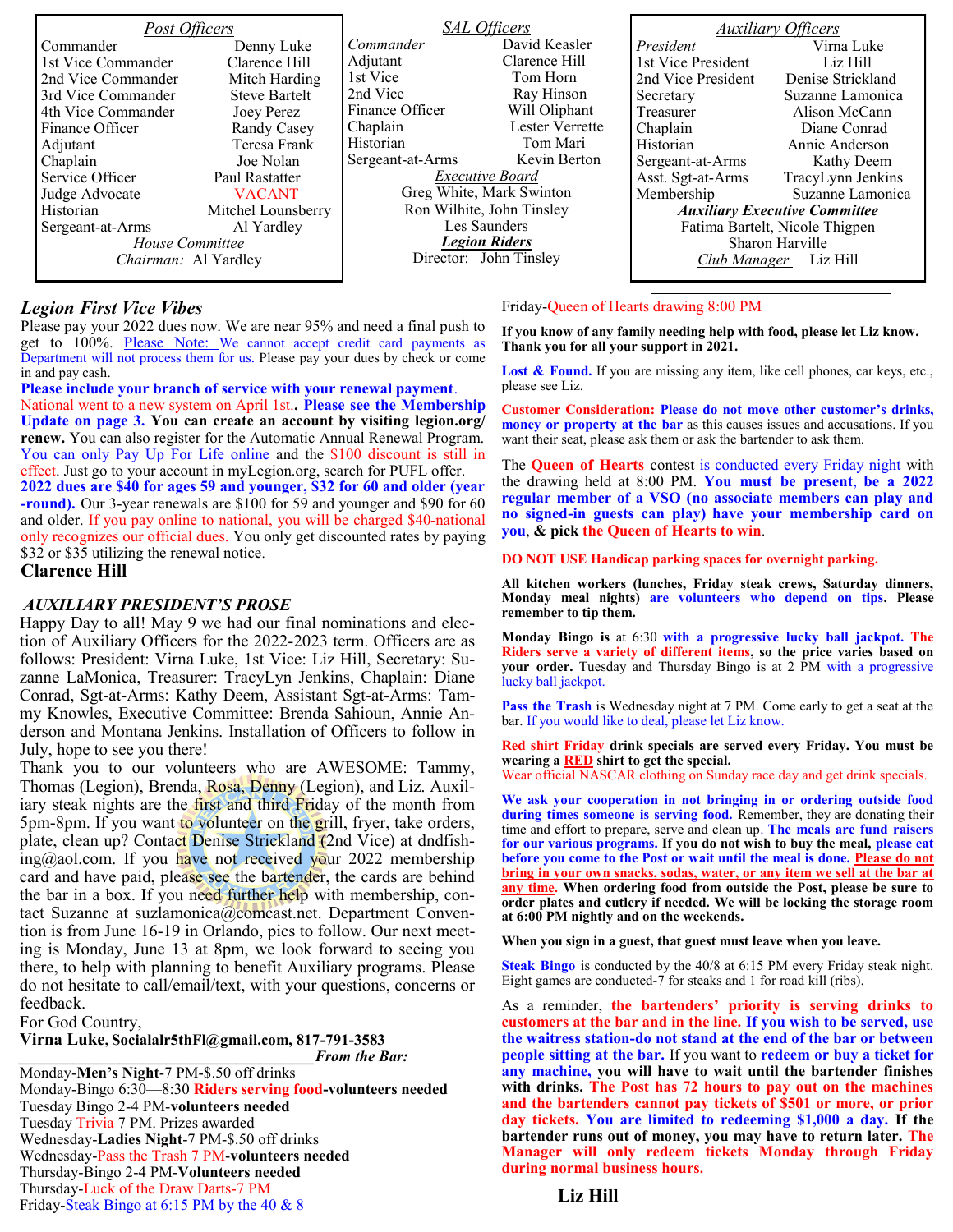| Post Officers        |                      | <b>SAL Officers</b>       |                 | <b>Auxiliary Officers</b>            |                   |
|----------------------|----------------------|---------------------------|-----------------|--------------------------------------|-------------------|
| Commander            | Denny Luke           | Commander                 | David Keasler   | President                            | Virna Luke        |
| 1st Vice Commander   | Clarence Hill        | Adjutant                  | Clarence Hill   | 1st Vice President                   | Liz Hill          |
| 2nd Vice Commander   | Mitch Harding        | 1st Vice                  | Tom Horn        | 2nd Vice President                   | Denise Strickland |
| 3rd Vice Commander   | <b>Steve Bartelt</b> | 2nd Vice                  | Ray Hinson      | Secretary                            | Suzanne Lamonica  |
| 4th Vice Commander   | Joey Perez           | Finance Officer           | Will Oliphant   | Treasurer                            | Alison McCann     |
| Finance Officer      | Randy Casey          | Chaplain                  | Lester Verrette | Chaplain                             | Diane Conrad      |
| Adjutant             | Teresa Frank         | Historian                 | Tom Mari        | Historian                            | Annie Anderson    |
| Chaplain             | Joe Nolan            | Sergeant-at-Arms          | Kevin Berton    | Sergeant-at-Arms                     | Kathy Deem        |
| Service Officer      | Paul Rastatter       | <i>Executive Board</i>    |                 | Asst. Sgt-at-Arms                    | TracyLynn Jenkins |
| Judge Advocate       | <b>VACANT</b>        | Greg White, Mark Swinton  |                 | Membership                           | Suzanne Lamonica  |
| Historian            | Mitchel Lounsberry   | Ron Wilhite, John Tinsley |                 | <b>Auxiliary Executive Committee</b> |                   |
| Sergeant-at-Arms     | Al Yardley           |                           | Les Saunders    | Fatima Bartelt, Nicole Thigpen       |                   |
| House Committee      |                      | <b>Legion Riders</b>      |                 | Sharon Harville                      |                   |
| Chairman: Al Yardley |                      | Director: John Tinsley    |                 | Club Manager Liz Hill                |                   |
|                      |                      |                           |                 |                                      |                   |

## *Legion First Vice Vibes*

Please pay your 2022 dues now. We are near 95% and need a final push to get to 100%. Please Note: We cannot accept credit card payments as Department will not process them for us. Please pay your dues by check or come in and pay cash.

**Please include your branch of service with your renewal payment**. National went to a new system on April 1st.**. Please see the Membership Update on page 3. You can create an account by visiting legion.org/ renew.** You can also register for the Automatic Annual Renewal Program. You can only Pay Up For Life online and the \$100 discount is still in effect. Just go to your account in myLegion.org, search for PUFL offer. **2022 dues are \$40 for ages 59 and younger, \$32 for 60 and older (year -round).** Our 3-year renewals are \$100 for 59 and younger and \$90 for 60 and older. If you pay online to national, you will be charged \$40-national only recognizes our official dues. You only get discounted rates by paying \$32 or \$35 utilizing the renewal notice.

## **Clarence Hill**

#### *AUXILIARY PRESIDENT'S PROSE*

Happy Day to all! May 9 we had our final nominations and election of Auxiliary Officers for the 2022-2023 term. Officers are as follows: President: Virna Luke, 1st Vice: Liz Hill, Secretary: Suzanne LaMonica, Treasurer: TracyLyn Jenkins, Chaplain: Diane Conrad, Sgt-at-Arms: Kathy Deem, Assistant Sgt-at-Arms: Tammy Knowles, Executive Committee: Brenda Sahioun, Annie Anderson and Montana Jenkins. Installation of Officers to follow in July, hope to see you there!

Thank you to our volunteers who are AWESOME: Tammy, Thomas (Legion), Brenda, Rosa, Denny (Legion), and Liz. Auxiliary steak nights are the **first and third Friday** of the month from 5pm-8pm. If you want to volunteer on the grill, fryer, take orders, plate, clean up? Contact Denise Strickland (2nd Vice) at dndfishing@aol.com. If you have not received your 2022 membership card and have paid, please see the bartender, the cards are behind the bar in a box. If you need further help with membership, contact Suzanne at suzlamonica@comcast.net. Department Convention is from June 16-19 in Orlando, pics to follow. Our next meeting is Monday, June 13 at 8pm, we look forward to seeing you there, to help with planning to benefit Auxiliary programs. Please do not hesitate to call/email/text, with your questions, concerns or feedback.

For God Country,

**Virna Luke, Socialalr5thFl@gmail.com, 817-791-3583**

*\_\_\_\_\_\_\_\_\_\_\_\_\_\_\_\_\_\_\_\_\_\_\_\_\_\_\_\_\_\_\_\_\_\_\_\_\_\_From the Bar:*

Monday-**Men's Night**-7 PM-\$.50 off drinks Monday-Bingo 6:30—8:30 **Riders serving food-volunteers needed** Tuesday Bingo 2-4 PM-**volunteers needed** Tuesday Trivia 7 PM. Prizes awarded Wednesday-**Ladies Night**-7 PM-\$.50 off drinks Wednesday-Pass the Trash 7 PM-**volunteers needed** Thursday-Bingo 2-4 PM-**Volunteers needed** Thursday-Luck of the Draw Darts-7 PM

Friday-Steak Bingo at 6:15 PM by the 40 & 8

#### Friday-Queen of Hearts drawing 8:00 PM

**If you know of any family needing help with food, please let Liz know. Thank you for all your support in 2021.**

Lost & Found. If you are missing any item, like cell phones, car keys, etc., please see Liz.

**Customer Consideration: Please do not move other customer's drinks, money or property at the bar** as this causes issues and accusations. If you want their seat, please ask them or ask the bartender to ask them.

The **Queen of Hearts** contest is conducted every Friday night with the drawing held at 8:00 PM. **You must be present**, **be a 2022 regular member of a VSO (no associate members can play and no signed-in guests can play) have your membership card on you**, **& pick the Queen of Hearts to win**.

**DO NOT USE Handicap parking spaces for overnight parking.**

**All kitchen workers (lunches, Friday steak crews, Saturday dinners, Monday meal nights) are volunteers who depend on tips. Please remember to tip them.**

**Monday Bingo is** at 6:30 **with a progressive lucky ball jackpot. The Riders serve a variety of different items, so the price varies based on your order.** Tuesday and Thursday Bingo is at 2 PM with a progressive lucky ball jackpot.

**Pass the Trash** is Wednesday night at 7 PM. Come early to get a seat at the bar. If you would like to deal, please let Liz know.

**Red shirt Friday drink specials are served every Friday. You must be wearing a RED shirt to get the special.**

Wear official NASCAR clothing on Sunday race day and get drink specials.

**We ask your cooperation in not bringing in or ordering outside food during times someone is serving food.** Remember, they are donating their time and effort to prepare, serve and clean up. **The meals are fund raisers for our various programs. If you do not wish to buy the meal, please eat before you come to the Post or wait until the meal is done. Please do not bring in your own snacks, sodas, water, or any item we sell at the bar at any time. When ordering food from outside the Post, please be sure to order plates and cutlery if needed. We will be locking the storage room at 6:00 PM nightly and on the weekends.**

**When you sign in a guest, that guest must leave when you leave.**

**Steak Bingo** is conducted by the 40/8 at 6:15 PM every Friday steak night. Eight games are conducted-7 for steaks and 1 for road kill (ribs).

As a reminder, **the bartenders' priority is serving drinks to customers at the bar and in the line. If you wish to be served, use the waitress station-do not stand at the end of the bar or between people sitting at the bar.** If you want to **redeem or buy a ticket for any machine, you will have to wait until the bartender finishes with drinks. The Post has 72 hours to pay out on the machines and the bartenders cannot pay tickets of \$501 or more, or prior day tickets. You are limited to redeeming \$1,000 a day. If the bartender runs out of money, you may have to return later. The Manager will only redeem tickets Monday through Friday during normal business hours.**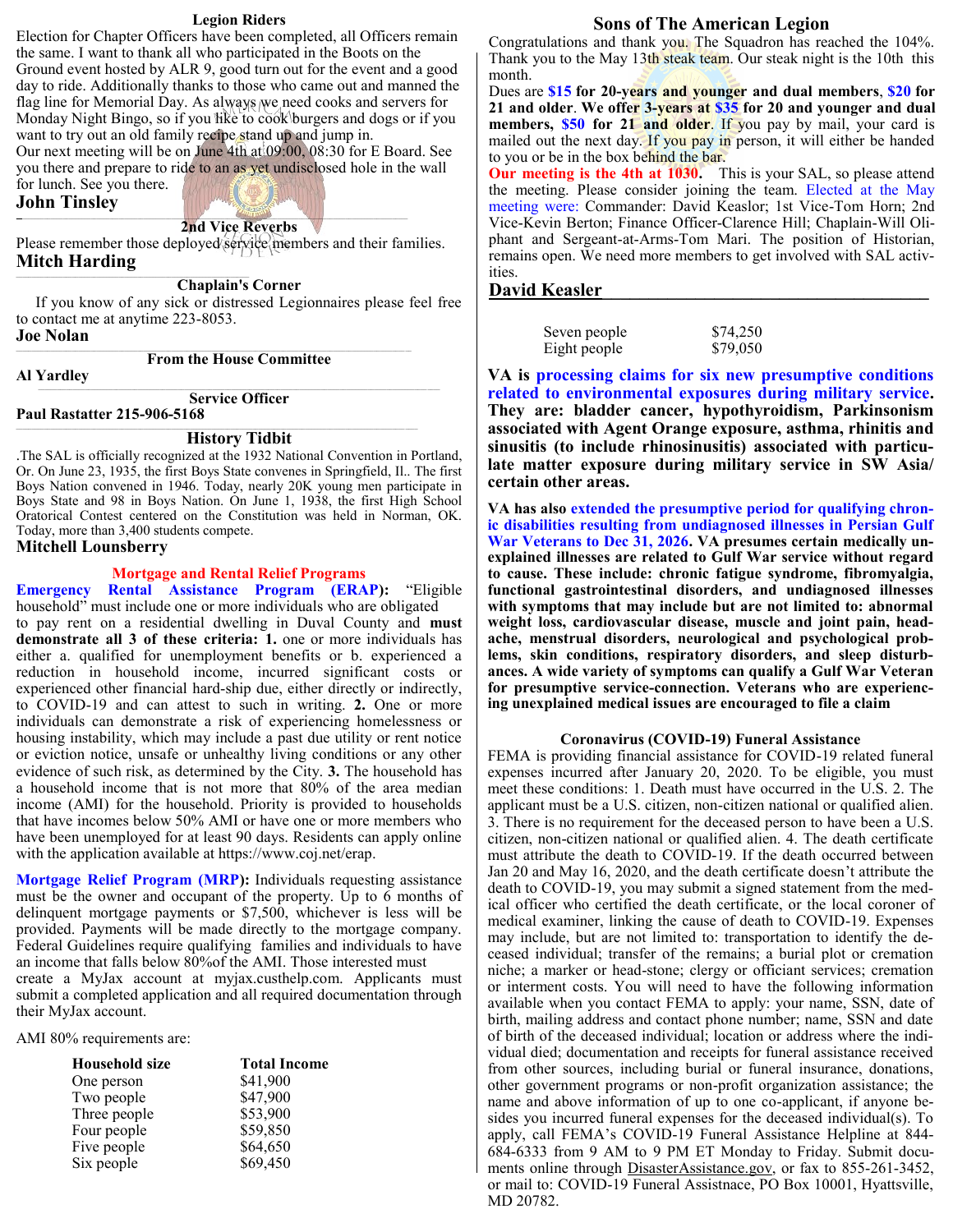#### **Legion Riders**

Election for Chapter Officers have been completed, all Officers remain the same. I want to thank all who participated in the Boots on the Ground event hosted by ALR 9, good turn out for the event and a good day to ride. Additionally thanks to those who came out and manned the flag line for Memorial Day. As always we need cooks and servers for Monday Night Bingo, so if you like to cook burgers and dogs or if you want to try out an old family recipe stand up and jump in.

Our next meeting will be on June 4th at 09:00, 08:30 for E Board. See you there and prepare to ride to an as yet undisclosed hole in the wall for lunch. See you there.

#### **John Tinsley**

#### *\_\_\_\_\_\_\_\_\_\_\_\_\_\_\_\_\_\_\_\_\_\_\_\_\_\_\_\_\_\_\_\_\_\_\_\_\_\_\_\_\_\_\_\_\_\_\_\_\_\_\_\_\_\_\_\_\_\_\_\_\_\_\_\_\_\_\_\_\_\_\_\_\_\_\_\_\_\_\_\_\_\_\_\_\_\_\_\_\_\_\_\_\_\_\_\_\_\_\_\_\_\_\_\_\_\_\_\_\_\_\_\_\_\_\_\_\_\_\_\_\_\_\_\_\_\_* **2nd Vice Reverbs**

Please remember those deployed service members and their families. **Mitch Harding**

**Chaplain's Corner** 

 If you know of any sick or distressed Legionnaires please feel free to contact me at anytime 223-8053.

#### **Joe Nolan** \_\_\_\_\_\_\_\_\_\_\_\_\_\_\_\_\_\_\_\_\_\_\_\_\_\_\_\_\_\_\_\_\_\_\_\_\_\_\_\_\_\_\_\_\_\_\_\_\_\_\_\_\_\_\_\_\_\_\_\_\_\_\_\_\_\_\_\_\_\_\_\_\_\_\_\_\_\_\_\_\_\_\_\_\_\_\_\_\_\_\_\_\_\_\_\_\_\_\_\_\_\_\_\_\_\_\_\_\_\_\_\_\_\_\_\_\_\_\_\_\_\_\_\_\_\_\_

**From the House Committee**

**Al Yardley**

**Service Officer**

**Paul Rastatter 215-906-5168**

## **History Tidbit**

.The SAL is officially recognized at the 1932 National Convention in Portland, Or. On June 23, 1935, the first Boys State convenes in Springfield, Il.. The first Boys Nation convened in 1946. Today, nearly 20K young men participate in Boys State and 98 in Boys Nation. On June 1, 1938, the first High School Oratorical Contest centered on the Constitution was held in Norman, OK. Today, more than 3,400 students compete.

## **Mitchell Lounsberry**

## **Mortgage and Rental Relief Programs**

**Emergency Rental Assistance Program (ERAP):** "Eligible household" must include one or more individuals who are obligated to pay rent on a residential dwelling in Duval County and **must demonstrate all 3 of these criteria: 1.** one or more individuals has either a. qualified for unemployment benefits or b. experienced a reduction in household income, incurred significant costs or experienced other financial hard-ship due, either directly or indirectly, to COVID-19 and can attest to such in writing. **2.** One or more individuals can demonstrate a risk of experiencing homelessness or housing instability, which may include a past due utility or rent notice or eviction notice, unsafe or unhealthy living conditions or any other evidence of such risk, as determined by the City. **3.** The household has a household income that is not more that 80% of the area median income (AMI) for the household. Priority is provided to households that have incomes below 50% AMI or have one or more members who have been unemployed for at least 90 days. Residents can apply online with the application available at https://www.coj.net/erap.

**Mortgage Relief Program (MRP):** Individuals requesting assistance must be the owner and occupant of the property. Up to 6 months of delinquent mortgage payments or \$7,500, whichever is less will be provided. Payments will be made directly to the mortgage company. Federal Guidelines require qualifying families and individuals to have an income that falls below 80%of the AMI. Those interested must create a MyJax account at myjax.custhelp.com. Applicants must submit a completed application and all required documentation through their MyJax account.

AMI 80% requirements are:

| <b>Household size</b> | <b>Total Income</b> |
|-----------------------|---------------------|
| One person            | \$41,900            |
| Two people            | \$47,900            |
| Three people          | \$53,900            |
| Four people           | \$59,850            |
| Five people           | \$64,650            |
| Six people            | \$69,450            |

# **Sons of The American Legion**

Congratulations and thank you. The Squadron has reached the 104%. Thank you to the May 13th steak team. Our steak night is the 10th this month.

Dues are **\$15 for 20-years and younger and dual members**, **\$20 for 21 and older**. **We offer 3-years at \$35 for 20 and younger and dual members, \$50 for 21 and older**. If you pay by mail, your card is mailed out the next day. If you pay in person, it will either be handed to you or be in the box behind the bar.

**Our meeting is the 4th at 1030.** This is your SAL, so please attend the meeting. Please consider joining the team. Elected at the May meeting were: Commander: David Keaslor; 1st Vice-Tom Horn; 2nd Vice-Kevin Berton; Finance Officer-Clarence Hill; Chaplain-Will Oliphant and Sergeant-at-Arms-Tom Mari. The position of Historian, remains open. We need more members to get involved with SAL activities.

## **David Keasler\_\_\_\_\_\_\_\_\_\_\_\_\_\_\_\_\_\_\_\_\_\_\_\_\_\_\_\_\_\_\_\_\_\_\_**

| Seven people | \$74,250 |
|--------------|----------|
| Eight people | \$79,050 |

**VA is processing claims for six new presumptive conditions related to environmental exposures during military service. They are: bladder cancer, hypothyroidism, Parkinsonism associated with Agent Orange exposure, asthma, rhinitis and sinusitis (to include rhinosinusitis) associated with particulate matter exposure during military service in SW Asia/ certain other areas.**

**VA has also extended the presumptive period for qualifying chronic disabilities resulting from undiagnosed illnesses in Persian Gulf War Veterans to Dec 31, 2026. VA presumes certain medically unexplained illnesses are related to Gulf War service without regard to cause. These include: chronic fatigue syndrome, fibromyalgia, functional gastrointestinal disorders, and undiagnosed illnesses with symptoms that may include but are not limited to: abnormal weight loss, cardiovascular disease, muscle and joint pain, headache, menstrual disorders, neurological and psychological problems, skin conditions, respiratory disorders, and sleep disturbances. A wide variety of symptoms can qualify a Gulf War Veteran for presumptive service-connection. Veterans who are experiencing unexplained medical issues are encouraged to file a claim**

## **Coronavirus (COVID-19) Funeral Assistance**

FEMA is providing financial assistance for COVID-19 related funeral expenses incurred after January 20, 2020. To be eligible, you must meet these conditions: 1. Death must have occurred in the U.S. 2. The applicant must be a U.S. citizen, non-citizen national or qualified alien. 3. There is no requirement for the deceased person to have been a U.S. citizen, non-citizen national or qualified alien. 4. The death certificate must attribute the death to COVID-19. If the death occurred between Jan 20 and May 16, 2020, and the death certificate doesn't attribute the death to COVID-19, you may submit a signed statement from the medical officer who certified the death certificate, or the local coroner of medical examiner, linking the cause of death to COVID-19. Expenses may include, but are not limited to: transportation to identify the deceased individual; transfer of the remains; a burial plot or cremation niche; a marker or head-stone; clergy or officiant services; cremation or interment costs. You will need to have the following information available when you contact FEMA to apply: your name, SSN, date of birth, mailing address and contact phone number; name, SSN and date of birth of the deceased individual; location or address where the individual died; documentation and receipts for funeral assistance received from other sources, including burial or funeral insurance, donations, other government programs or non-profit organization assistance; the name and above information of up to one co-applicant, if anyone besides you incurred funeral expenses for the deceased individual(s). To apply, call FEMA's COVID-19 Funeral Assistance Helpline at 844- 684-6333 from 9 AM to 9 PM ET Monday to Friday. Submit documents online through DisasterAssistance.gov, or fax to 855-261-3452, or mail to: COVID-19 Funeral Assistnace, PO Box 10001, Hyattsville, MD 20782.